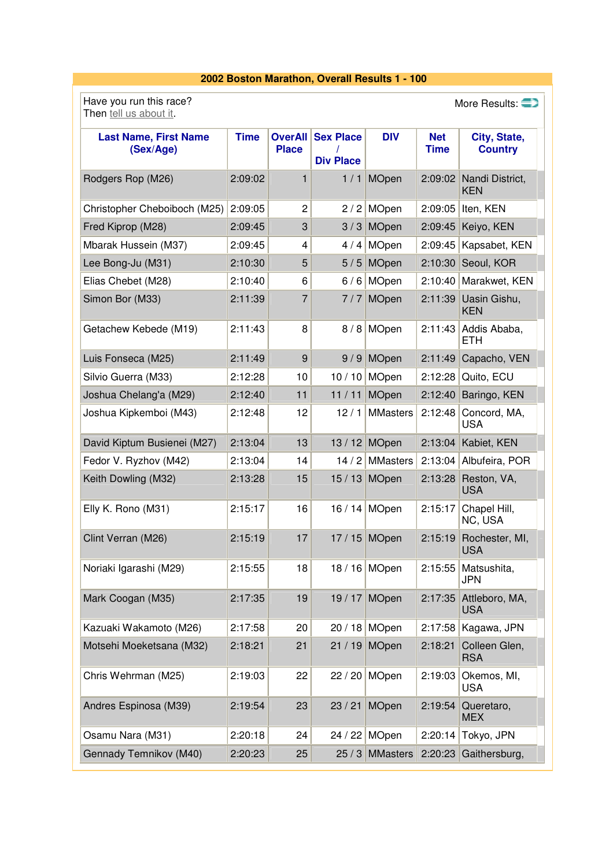| 2002 Boston Marathon, Overall Results 1 - 100     |             |                                |                                      |                 |                           |                                |
|---------------------------------------------------|-------------|--------------------------------|--------------------------------------|-----------------|---------------------------|--------------------------------|
| Have you run this race?<br>Then tell us about it. |             |                                |                                      |                 |                           | More Results: <sup>2</sup>     |
| <b>Last Name, First Name</b><br>(Sex/Age)         | <b>Time</b> | <b>OverAll</b><br><b>Place</b> | <b>Sex Place</b><br><b>Div Place</b> | <b>DIV</b>      | <b>Net</b><br><b>Time</b> | City, State,<br><b>Country</b> |
| Rodgers Rop (M26)                                 | 2:09:02     | $\mathbf{1}$                   | 1/1                                  | <b>MOpen</b>    | 2:09:02                   | Nandi District,<br><b>KEN</b>  |
| Christopher Cheboiboch (M25)                      | 2:09:05     | 2                              | 2/2                                  | MOpen           | 2:09:05                   | Iten, KEN                      |
| Fred Kiprop (M28)                                 | 2:09:45     | 3                              | 3/3                                  | <b>MOpen</b>    | 2:09:45                   | Keiyo, KEN                     |
| Mbarak Hussein (M37)                              | 2:09:45     | 4                              | 4/4                                  | MOpen           | 2:09:45                   | Kapsabet, KEN                  |
| Lee Bong-Ju (M31)                                 | 2:10:30     | 5                              | 5/5                                  | MOpen           | 2:10:30                   | Seoul, KOR                     |
| Elias Chebet (M28)                                | 2:10:40     | 6                              | 6/6                                  | MOpen           | 2:10:40                   | Marakwet, KEN                  |
| Simon Bor (M33)                                   | 2:11:39     | $\overline{7}$                 | 7/7                                  | <b>MOpen</b>    | 2:11:39                   | Uasin Gishu,<br><b>KEN</b>     |
| Getachew Kebede (M19)                             | 2:11:43     | 8                              | 8/8                                  | MOpen           | 2:11:43                   | Addis Ababa,<br><b>ETH</b>     |
| Luis Fonseca (M25)                                | 2:11:49     | 9                              | 9/9                                  | <b>MOpen</b>    | 2:11:49                   | Capacho, VEN                   |
| Silvio Guerra (M33)                               | 2:12:28     | 10                             | 10/10                                | MOpen           | 2:12:28                   | Quito, ECU                     |
| Joshua Chelang'a (M29)                            | 2:12:40     | 11                             | 11/11                                | <b>MOpen</b>    | 2:12:40                   | Baringo, KEN                   |
| Joshua Kipkemboi (M43)                            | 2:12:48     | 12                             | 12/1                                 | <b>MMasters</b> | 2:12:48                   | Concord, MA,<br><b>USA</b>     |
| David Kiptum Busienei (M27)                       | 2:13:04     | 13                             | 13/12                                | MOpen           | 2:13:04                   | Kabiet, KEN                    |
| Fedor V. Ryzhov (M42)                             | 2:13:04     | 14                             | 14/2                                 | <b>MMasters</b> | 2:13:04                   | Albufeira, POR                 |
| Keith Dowling (M32)                               | 2:13:28     | 15                             | 15/13                                | <b>MOpen</b>    | 2:13:28                   | Reston, VA,<br><b>USA</b>      |
| Elly K. Rono (M31)                                | 2:15:17     | 16                             | 16/14                                | MOpen           | 2:15:17                   | Chapel Hill,<br>NC, USA        |
| Clint Verran (M26)                                | 2:15:19     | 17                             |                                      | 17 / 15 MOpen   | 2:15:19                   | Rochester, MI,<br><b>USA</b>   |
| Noriaki Igarashi (M29)                            | 2:15:55     | 18                             | 18/16                                | MOpen           | 2:15:55                   | Matsushita,<br><b>JPN</b>      |
| Mark Coogan (M35)                                 | 2:17:35     | 19                             | 19/17                                | <b>MOpen</b>    | 2:17:35                   | Attleboro, MA,<br><b>USA</b>   |
| Kazuaki Wakamoto (M26)                            | 2:17:58     | 20                             | 20/18                                | MOpen           | 2:17:58                   | Kagawa, JPN                    |
| Motsehi Moeketsana (M32)                          | 2:18:21     | 21                             | 21/19                                | <b>MOpen</b>    | 2:18:21                   | Colleen Glen,<br><b>RSA</b>    |
| Chris Wehrman (M25)                               | 2:19:03     | 22                             | 22/20                                | MOpen           | 2:19:03                   | Okemos, MI,<br><b>USA</b>      |
| Andres Espinosa (M39)                             | 2:19:54     | 23                             | 23/21                                | <b>MOpen</b>    | 2:19:54                   | Queretaro,<br><b>MEX</b>       |
| Osamu Nara (M31)                                  | 2:20:18     | 24                             | 24/22                                | MOpen           | 2:20:14                   | Tokyo, JPN                     |
| Gennady Temnikov (M40)                            | 2:20:23     | 25                             | 25/3                                 | <b>MMasters</b> | 2:20:23                   | Gaithersburg,                  |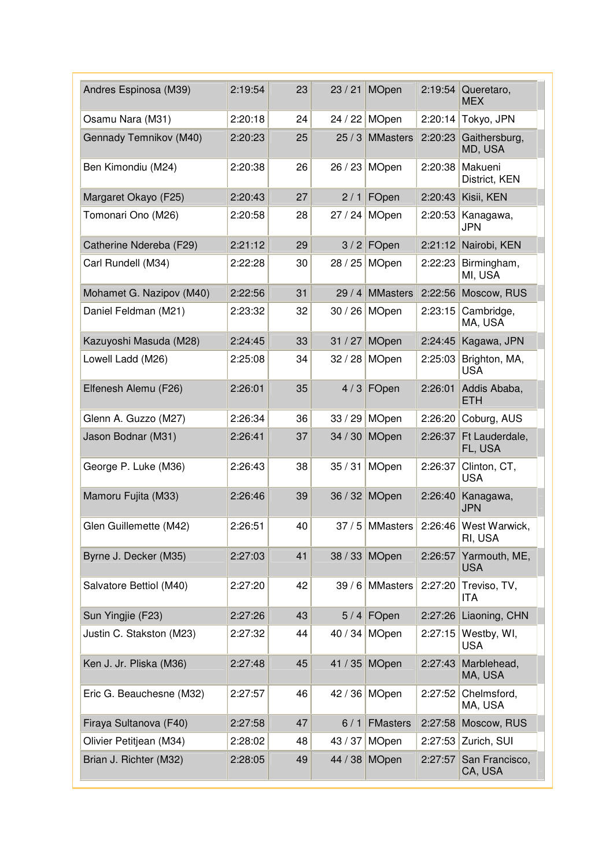| Andres Espinosa (M39)    | 2:19:54 | 23 | 23/21   | <b>MOpen</b>    | 2:19:54 | Queretaro,<br><b>MEX</b>    |
|--------------------------|---------|----|---------|-----------------|---------|-----------------------------|
| Osamu Nara (M31)         | 2:20:18 | 24 |         | 24 / 22 MOpen   | 2:20:14 | Tokyo, JPN                  |
| Gennady Temnikov (M40)   | 2:20:23 | 25 | 25/3    | <b>MMasters</b> | 2:20:23 | Gaithersburg,<br>MD, USA    |
| Ben Kimondiu (M24)       | 2:20:38 | 26 |         | 26 / 23 MOpen   | 2:20:38 | Makueni<br>District, KEN    |
| Margaret Okayo (F25)     | 2:20:43 | 27 | 2/1     | FOpen           | 2:20:43 | Kisii, KEN                  |
| Tomonari Ono (M26)       | 2:20:58 | 28 | 27/24   | MOpen           | 2:20:53 | Kanagawa,<br><b>JPN</b>     |
| Catherine Ndereba (F29)  | 2:21:12 | 29 | 3/2     | FOpen           | 2:21:12 | Nairobi, KEN                |
| Carl Rundell (M34)       | 2:22:28 | 30 | 28/25   | <b>MOpen</b>    | 2:22:23 | Birmingham,<br>MI, USA      |
| Mohamet G. Nazipov (M40) | 2:22:56 | 31 | 29/4    | <b>MMasters</b> | 2:22:56 | Moscow, RUS                 |
| Daniel Feldman (M21)     | 2:23:32 | 32 | 30/26   | <b>MOpen</b>    | 2:23:15 | Cambridge,<br>MA, USA       |
| Kazuyoshi Masuda (M28)   | 2:24:45 | 33 | 31/27   | <b>MOpen</b>    | 2:24:45 | Kagawa, JPN                 |
| Lowell Ladd (M26)        | 2:25:08 | 34 | 32/28   | <b>MOpen</b>    | 2:25:03 | Brighton, MA,<br><b>USA</b> |
| Elfenesh Alemu (F26)     | 2:26:01 | 35 |         | $4/3$ FOpen     | 2:26:01 | Addis Ababa,<br><b>ETH</b>  |
| Glenn A. Guzzo (M27)     | 2:26:34 | 36 | 33/29   | MOpen           | 2:26:20 | Coburg, AUS                 |
| Jason Bodnar (M31)       | 2:26:41 | 37 | 34/30   | <b>MOpen</b>    | 2:26:37 | Ft Lauderdale,<br>FL, USA   |
| George P. Luke (M36)     | 2:26:43 | 38 | 35/31   | MOpen           | 2:26:37 | Clinton, CT,<br><b>USA</b>  |
| Mamoru Fujita (M33)      | 2:26:46 | 39 | 36/32   | <b>MOpen</b>    | 2:26:40 | Kanagawa,<br><b>JPN</b>     |
| Glen Guillemette (M42)   | 2:26:51 | 40 |         | 37 / 5 MMasters | 2:26:46 | West Warwick,<br>RI, USA    |
| Byrne J. Decker (M35)    | 2:27:03 | 41 | 38/33   | <b>MOpen</b>    | 2:26:57 | Yarmouth, ME,<br><b>USA</b> |
| Salvatore Bettiol (M40)  | 2:27:20 | 42 | 39/6    | <b>MMasters</b> | 2:27:20 | Treviso, TV,<br><b>ITA</b>  |
| Sun Yingjie (F23)        | 2:27:26 | 43 |         | $5/4$ FOpen     | 2:27:26 | Liaoning, CHN               |
| Justin C. Stakston (M23) | 2:27:32 | 44 |         | 40 / 34 MOpen   | 2:27:15 | Westby, WI,<br><b>USA</b>   |
| Ken J. Jr. Pliska (M36)  | 2:27:48 | 45 | 41 / 35 | <b>MOpen</b>    | 2:27:43 | Marblehead,<br>MA, USA      |
| Eric G. Beauchesne (M32) | 2:27:57 | 46 |         | 42 / 36 MOpen   | 2:27:52 | Chelmsford,<br>MA, USA      |
| Firaya Sultanova (F40)   | 2:27:58 | 47 | 6/1     | <b>FMasters</b> | 2:27:58 | Moscow, RUS                 |
| Olivier Petitjean (M34)  | 2:28:02 | 48 | 43/37   | MOpen           | 2:27:53 | Zurich, SUI                 |
| Brian J. Richter (M32)   | 2:28:05 | 49 | 44 / 38 | <b>MOpen</b>    | 2:27:57 | San Francisco,<br>CA, USA   |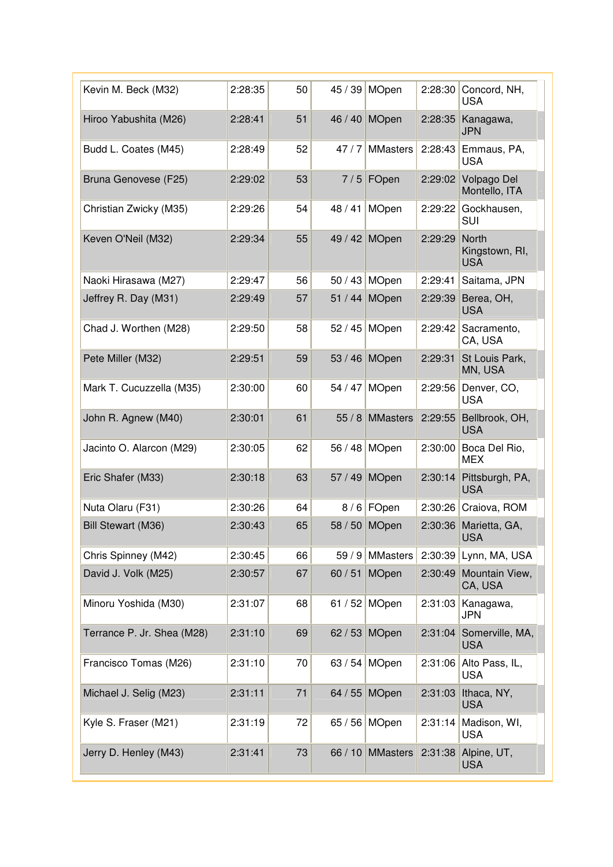| Kevin M. Beck (M32)        | 2:28:35 | 50 | 45/39   | MOpen           | 2:28:30 | Concord, NH,                                 |
|----------------------------|---------|----|---------|-----------------|---------|----------------------------------------------|
|                            |         |    |         |                 |         | <b>USA</b>                                   |
| Hiroo Yabushita (M26)      | 2:28:41 | 51 |         | 46 / 40 MOpen   | 2:28:35 | Kanagawa,<br><b>JPN</b>                      |
| Budd L. Coates (M45)       | 2:28:49 | 52 | 47/7    | <b>MMasters</b> | 2:28:43 | Emmaus, PA,<br><b>USA</b>                    |
| Bruna Genovese (F25)       | 2:29:02 | 53 | 7/5     | FOpen           | 2:29:02 | Volpago Del<br>Montello, ITA                 |
| Christian Zwicky (M35)     | 2:29:26 | 54 | 48/41   | MOpen           | 2:29:22 | Gockhausen,<br>SUI                           |
| Keven O'Neil (M32)         | 2:29:34 | 55 | 49/42   | <b>MOpen</b>    | 2:29:29 | <b>North</b><br>Kingstown, RI,<br><b>USA</b> |
| Naoki Hirasawa (M27)       | 2:29:47 | 56 |         | 50 / 43 MOpen   | 2:29:41 | Saitama, JPN                                 |
| Jeffrey R. Day (M31)       | 2:29:49 | 57 | 51/44   | <b>MOpen</b>    | 2:29:39 | Berea, OH,<br><b>USA</b>                     |
| Chad J. Worthen (M28)      | 2:29:50 | 58 | 52/45   | <b>MOpen</b>    | 2:29:42 | Sacramento,<br>CA, USA                       |
| Pete Miller (M32)          | 2:29:51 | 59 | 53/46   | <b>MOpen</b>    | 2:29:31 | St Louis Park,<br>MN, USA                    |
| Mark T. Cucuzzella (M35)   | 2:30:00 | 60 | 54/47   | <b>MOpen</b>    | 2:29:56 | Denver, CO,<br><b>USA</b>                    |
| John R. Agnew (M40)        | 2:30:01 | 61 | 55/8    | <b>MMasters</b> | 2:29:55 | Bellbrook, OH,<br><b>USA</b>                 |
| Jacinto O. Alarcon (M29)   | 2:30:05 | 62 | 56/48   | MOpen           | 2:30:00 | Boca Del Rio,<br><b>MEX</b>                  |
| Eric Shafer (M33)          | 2:30:18 | 63 | 57/49   | <b>MOpen</b>    | 2:30:14 | Pittsburgh, PA,<br><b>USA</b>                |
| Nuta Olaru (F31)           | 2:30:26 | 64 | 8/6     | FOpen           | 2:30:26 | Craiova, ROM                                 |
| <b>Bill Stewart (M36)</b>  | 2:30:43 | 65 | 58/50   | <b>MOpen</b>    | 2:30:36 | Marietta, GA,<br><b>USA</b>                  |
| Chris Spinney (M42)        | 2:30:45 | 66 | 59/9    | <b>MMasters</b> | 2:30:39 | Lynn, MA, USA                                |
| David J. Volk (M25)        | 2:30:57 | 67 | 60/51   | <b>MOpen</b>    | 2:30:49 | Mountain View,<br>CA, USA                    |
| Minoru Yoshida (M30)       | 2:31:07 | 68 |         | 61 / 52 MOpen   | 2:31:03 | Kanagawa,<br>JPN                             |
| Terrance P. Jr. Shea (M28) | 2:31:10 | 69 | 62/53   | <b>MOpen</b>    | 2:31:04 | Somerville, MA,<br><b>USA</b>                |
| Francisco Tomas (M26)      | 2:31:10 | 70 |         | 63 / 54 MOpen   | 2:31:06 | Alto Pass, IL,<br><b>USA</b>                 |
| Michael J. Selig (M23)     | 2:31:11 | 71 | 64/55   | <b>MOpen</b>    | 2:31:03 | Ithaca, NY,<br><b>USA</b>                    |
| Kyle S. Fraser (M21)       | 2:31:19 | 72 | 65/56   | <b>MOpen</b>    | 2:31:14 | Madison, WI,<br><b>USA</b>                   |
| Jerry D. Henley (M43)      | 2:31:41 | 73 | 66 / 10 | <b>MMasters</b> | 2:31:38 | Alpine, UT,<br><b>USA</b>                    |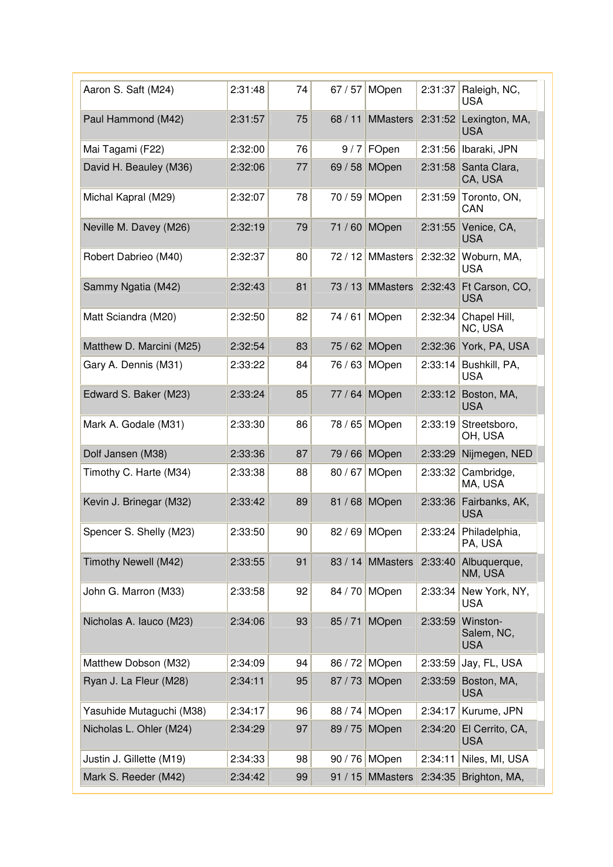| Aaron S. Saft (M24)      | 2:31:48 | 74 | 67/57   | MOpen           | 2:31:37 | Raleigh, NC,<br><b>USA</b>           |
|--------------------------|---------|----|---------|-----------------|---------|--------------------------------------|
| Paul Hammond (M42)       | 2:31:57 | 75 | 68/11   | <b>MMasters</b> | 2:31:52 | Lexington, MA,<br><b>USA</b>         |
| Mai Tagami (F22)         | 2:32:00 | 76 | 9/7     | FOpen           | 2:31:56 | Ibaraki, JPN                         |
| David H. Beauley (M36)   | 2:32:06 | 77 | 69 / 58 | <b>MOpen</b>    | 2:31:58 | Santa Clara,<br>CA, USA              |
| Michal Kapral (M29)      | 2:32:07 | 78 | 70 / 59 | MOpen           | 2:31:59 | Toronto, ON,<br>CAN                  |
| Neville M. Davey (M26)   | 2:32:19 | 79 | 71/60   | <b>MOpen</b>    | 2:31:55 | Venice, CA,<br><b>USA</b>            |
| Robert Dabrieo (M40)     | 2:32:37 | 80 | 72/12   | <b>MMasters</b> | 2:32:32 | Woburn, MA,<br><b>USA</b>            |
| Sammy Ngatia (M42)       | 2:32:43 | 81 | 73/13   | <b>MMasters</b> | 2:32:43 | Ft Carson, CO,<br><b>USA</b>         |
| Matt Sciandra (M20)      | 2:32:50 | 82 | 74/61   | MOpen           | 2:32:34 | Chapel Hill,<br>NC, USA              |
| Matthew D. Marcini (M25) | 2:32:54 | 83 | 75/62   | <b>MOpen</b>    | 2:32:36 | York, PA, USA                        |
| Gary A. Dennis (M31)     | 2:33:22 | 84 | 76 / 63 | <b>MOpen</b>    | 2:33:14 | Bushkill, PA,<br><b>USA</b>          |
| Edward S. Baker (M23)    | 2:33:24 | 85 | 77/64   | <b>MOpen</b>    | 2:33:12 | Boston, MA,<br><b>USA</b>            |
| Mark A. Godale (M31)     | 2:33:30 | 86 | 78 / 65 | MOpen           | 2:33:19 | Streetsboro,<br>OH, USA              |
| Dolf Jansen (M38)        | 2:33:36 | 87 | 79/66   | <b>MOpen</b>    | 2:33:29 | Nijmegen, NED                        |
| Timothy C. Harte (M34)   | 2:33:38 | 88 | 80 / 67 | MOpen           | 2:33:32 | Cambridge,<br>MA, USA                |
| Kevin J. Brinegar (M32)  | 2:33:42 | 89 | 81/68   | <b>MOpen</b>    | 2:33:36 | Fairbanks, AK,<br><b>USA</b>         |
| Spencer S. Shelly (M23)  | 2:33:50 | 90 | 82/69   | <b>MOpen</b>    | 2:33:24 | Philadelphia,<br>PA, USA             |
| Timothy Newell (M42)     | 2:33:55 | 91 | 83/14   | <b>MMasters</b> | 2:33:40 | Albuquerque,<br>NM, USA              |
| John G. Marron (M33)     | 2:33:58 | 92 | 84 / 70 | MOpen           | 2:33:34 | New York, NY,<br><b>USA</b>          |
| Nicholas A. Iauco (M23)  | 2:34:06 | 93 | 85/71   | <b>MOpen</b>    | 2:33:59 | Winston-<br>Salem, NC,<br><b>USA</b> |
| Matthew Dobson (M32)     | 2:34:09 | 94 | 86 / 72 | MOpen           | 2:33:59 | Jay, FL, USA                         |
| Ryan J. La Fleur (M28)   | 2:34:11 | 95 | 87/73   | <b>MOpen</b>    | 2:33:59 | Boston, MA,<br><b>USA</b>            |
| Yasuhide Mutaguchi (M38) | 2:34:17 | 96 | 88 / 74 | MOpen           | 2:34:17 | Kurume, JPN                          |
| Nicholas L. Ohler (M24)  | 2:34:29 | 97 | 89 / 75 | <b>MOpen</b>    | 2:34:20 | El Cerrito, CA,<br><b>USA</b>        |
| Justin J. Gillette (M19) | 2:34:33 | 98 | 90/76   | MOpen           | 2:34:11 | Niles, MI, USA                       |
| Mark S. Reeder (M42)     | 2:34:42 | 99 | 91/15   | <b>MMasters</b> | 2:34:35 | Brighton, MA,                        |